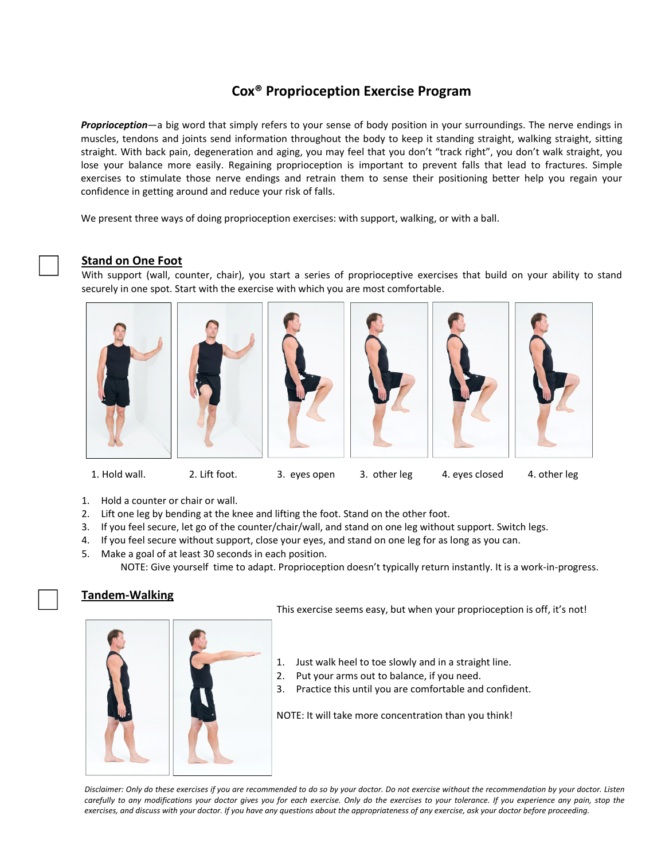# **Cox® Proprioception Exercise Program**

*Proprioception*—a big word that simply refers to your sense of body position in your surroundings. The nerve endings in muscles, tendons and joints send information throughout the body to keep it standing straight, walking straight, sitting straight. With back pain, degeneration and aging, you may feel that you don't "track right", you don't walk straight, you lose your balance more easily. Regaining proprioception is important to prevent falls that lead to fractures. Simple exercises to stimulate those nerve endings and retrain them to sense their positioning better help you regain your confidence in getting around and reduce your risk of falls.

We present three ways of doing proprioception exercises: with support, walking, or with a ball.

#### **Stand on One Foot**

With support (wall, counter, chair), you start a series of proprioceptive exercises that build on your ability to stand securely in one spot. Start with the exercise with which you are most comfortable.











1. Hold wall. 2. Lift foot. 3. eyes open 3. other leg 4. eyes closed 4. other leg

- 1. Hold a counter or chair or wall.
- 2. Lift one leg by bending at the knee and lifting the foot. Stand on the other foot.
- 3. If you feel secure, let go of the counter/chair/wall, and stand on one leg without support. Switch legs.
- 4. If you feel secure without support, close your eyes, and stand on one leg for as long as you can.
- 5. Make a goal of at least 30 seconds in each position. NOTE: Give yourself time to adapt. Proprioception doesn't typically return instantly. It is a work‐in‐progress.

#### **Tandem‐Walking**

This exercise seems easy, but when your proprioception is off, it's not!

- 1. Just walk heel to toe slowly and in a straight line.
- 2. Put your arms out to balance, if you need.
- 3. Practice this until you are comfortable and confident.

NOTE: It will take more concentration than you think!

Disclaimer: Only do these exercises if you are recommended to do so by your doctor. Do not exercise without the recommendation by your doctor. Listen carefully to any modifications your doctor gives you for each exercise. Only do the exercises to your tolerance. If you experience any pain, stop the exercises, and discuss with your doctor. If you have any questions about the appropriateness of any exercise, ask your doctor before proceeding.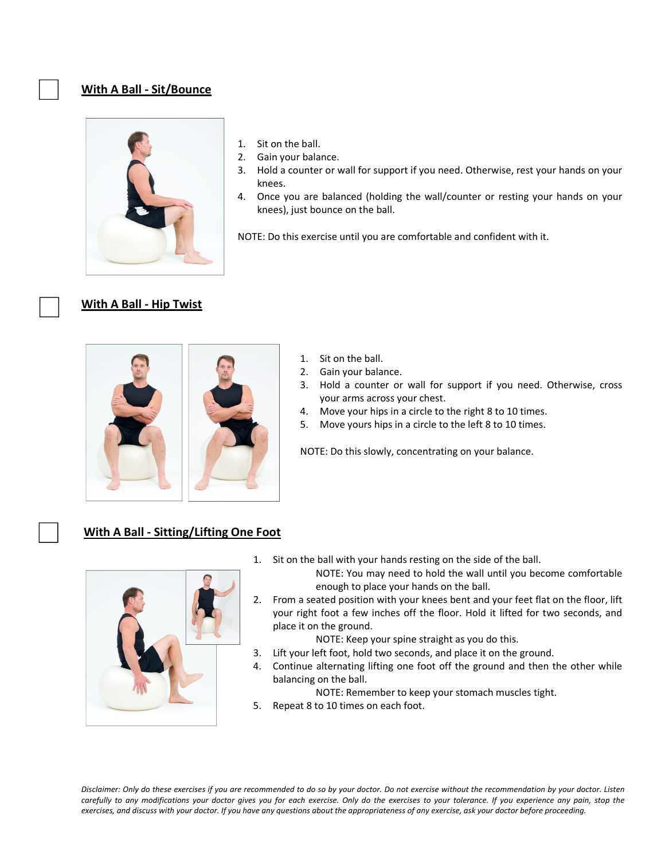### **With A Ball ‐ Sit/Bounce**



- 1. Sit on the ball.
- 2. Gain your balance.
- 3. Hold a counter or wall for support if you need. Otherwise, rest your hands on your knees.
- 4. Once you are balanced (holding the wall/counter or resting your hands on your knees), just bounce on the ball.

NOTE: Do this exercise until you are comfortable and confident with it.

## **With A Ball ‐ Hip Twist**



- 1. Sit on the ball.
- 2. Gain your balance.
- 3. Hold a counter or wall for support if you need. Otherwise, cross your arms across your chest.
- 4. Move your hips in a circle to the right 8 to 10 times.
- 5. Move yours hips in a circle to the left 8 to 10 times.

NOTE: Do this slowly, concentrating on your balance.

## **With A Ball ‐ Sitting/Lifting One Foot**



1. Sit on the ball with your hands resting on the side of the ball.

NOTE: You may need to hold the wall until you become comfortable enough to place your hands on the ball.

2. From a seated position with your knees bent and your feet flat on the floor, lift your right foot a few inches off the floor. Hold it lifted for two seconds, and place it on the ground.

NOTE: Keep your spine straight as you do this.

- 3. Lift your left foot, hold two seconds, and place it on the ground.
- 4. Continue alternating lifting one foot off the ground and then the other while balancing on the ball.

NOTE: Remember to keep your stomach muscles tight.

5. Repeat 8 to 10 times on each foot.

Disclaimer: Only do these exercises if you are recommended to do so by your doctor. Do not exercise without the recommendation by your doctor. Listen carefully to any modifications your doctor gives you for each exercise. Only do the exercises to your tolerance. If you experience any pain, stop the exercises, and discuss with your doctor. If you have any questions about the appropriateness of any exercise, ask your doctor before proceeding.